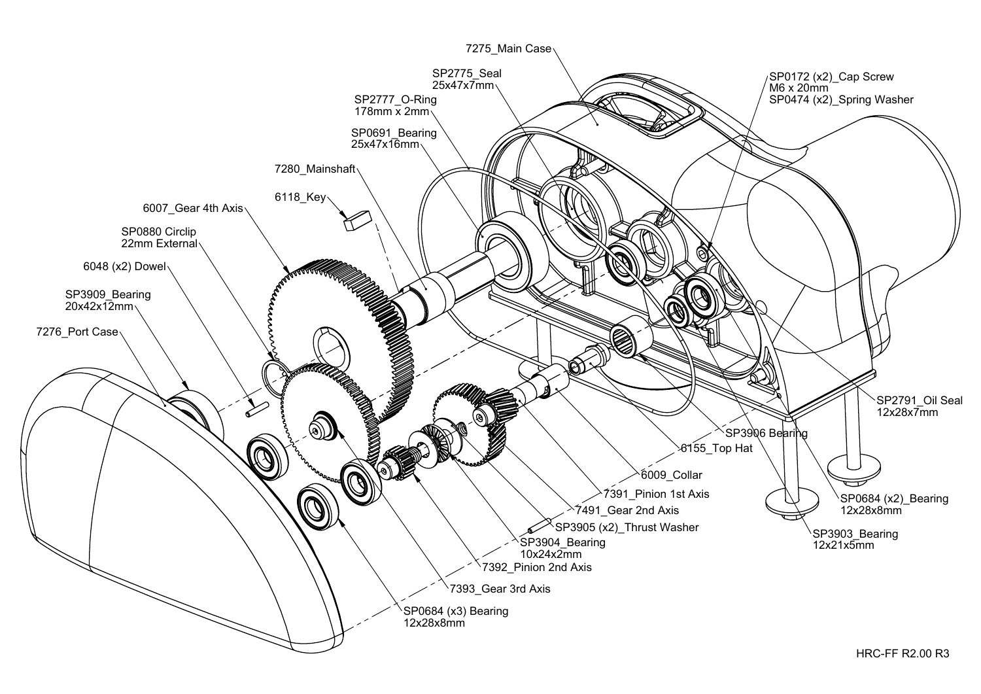